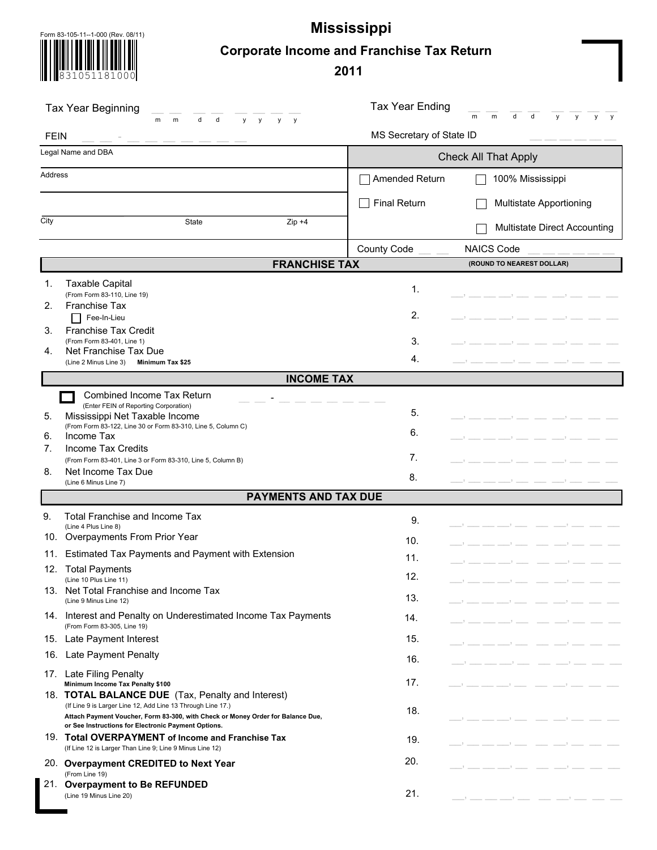Form 83-105-11--1-000 (Rev. 08/11) **Mississippi**

831051181000

# **Corporate Income and Franchise Tax Return**

**2011**

| Tax Year Beginning<br>d<br>d<br>m<br>m<br>y<br>V<br><b>y</b><br><b>y</b> |                                                                                                                                                                                                            | <b>Tax Year Ending</b>   | d<br>m<br>m<br>d<br>y<br>V<br>у<br>y              |  |
|--------------------------------------------------------------------------|------------------------------------------------------------------------------------------------------------------------------------------------------------------------------------------------------------|--------------------------|---------------------------------------------------|--|
| <b>FEIN</b>                                                              |                                                                                                                                                                                                            | MS Secretary of State ID |                                                   |  |
| Legal Name and DBA                                                       |                                                                                                                                                                                                            |                          | <b>Check All That Apply</b>                       |  |
| Address                                                                  |                                                                                                                                                                                                            | Amended Return           | 100% Mississippi                                  |  |
|                                                                          |                                                                                                                                                                                                            | <b>Final Return</b>      | Multistate Apportioning                           |  |
| City                                                                     | State<br>$Zip +4$                                                                                                                                                                                          |                          | Multistate Direct Accounting                      |  |
|                                                                          |                                                                                                                                                                                                            | County Code              | <b>NAICS Code</b>                                 |  |
|                                                                          | <b>FRANCHISE TAX</b>                                                                                                                                                                                       |                          | (ROUND TO NEAREST DOLLAR)                         |  |
| 1.<br>2.                                                                 | <b>Taxable Capital</b><br>(From Form 83-110, Line 19)<br><b>Franchise Tax</b>                                                                                                                              | 1.                       |                                                   |  |
| 3.                                                                       | Fee-In-Lieu<br><b>Franchise Tax Credit</b>                                                                                                                                                                 | 2.                       |                                                   |  |
|                                                                          | (From Form 83-401, Line 1)                                                                                                                                                                                 | 3.                       |                                                   |  |
| 4.                                                                       | Net Franchise Tax Due<br>(Line 2 Minus Line 3)<br>Minimum Tax \$25                                                                                                                                         | 4.                       |                                                   |  |
|                                                                          | <b>INCOME TAX</b>                                                                                                                                                                                          |                          |                                                   |  |
|                                                                          | Combined Income Tax Return                                                                                                                                                                                 |                          |                                                   |  |
| 5.                                                                       | (Enter FEIN of Reporting Corporation)<br>Mississippi Net Taxable Income                                                                                                                                    | 5.                       |                                                   |  |
| 6.                                                                       | (From Form 83-122, Line 30 or Form 83-310, Line 5, Column C)<br>Income Tax                                                                                                                                 | 6.                       |                                                   |  |
| 7.                                                                       | Income Tax Credits                                                                                                                                                                                         |                          |                                                   |  |
| 8.                                                                       | (From Form 83-401, Line 3 or Form 83-310, Line 5, Column B)<br>Net Income Tax Due                                                                                                                          | 7.                       |                                                   |  |
|                                                                          | (Line 6 Minus Line 7)                                                                                                                                                                                      | 8.                       |                                                   |  |
|                                                                          | <b>PAYMENTS AND TAX DUE</b>                                                                                                                                                                                |                          |                                                   |  |
| 9.                                                                       | Total Franchise and Income Tax<br>(Line 4 Plus Line 8)                                                                                                                                                     | 9.                       |                                                   |  |
|                                                                          | 10. Overpayments From Prior Year                                                                                                                                                                           | 10.                      |                                                   |  |
| 11.                                                                      | Estimated Tax Payments and Payment with Extension                                                                                                                                                          | 11.                      |                                                   |  |
|                                                                          | 12. Total Payments<br>(Line 10 Plus Line 11)                                                                                                                                                               | 12.                      |                                                   |  |
|                                                                          | 13. Net Total Franchise and Income Tax<br>(Line 9 Minus Line 12)                                                                                                                                           | 13.                      |                                                   |  |
|                                                                          | 14. Interest and Penalty on Underestimated Income Tax Payments<br>(From Form 83-305, Line 19)                                                                                                              | 14.                      |                                                   |  |
|                                                                          | 15. Late Payment Interest                                                                                                                                                                                  | 15.                      |                                                   |  |
|                                                                          | 16. Late Payment Penalty                                                                                                                                                                                   | 16.                      |                                                   |  |
|                                                                          | 17. Late Filing Penalty<br>Minimum Income Tax Penalty \$100                                                                                                                                                | 17.                      | $\frac{1}{2}$ and $\frac{1}{2}$ and $\frac{1}{2}$ |  |
|                                                                          | 18. <b>TOTAL BALANCE DUE</b> (Tax, Penalty and Interest)<br>(If Line 9 is Larger Line 12, Add Line 13 Through Line 17.)<br>Attach Payment Voucher, Form 83-300, with Check or Money Order for Balance Due, | 18.                      |                                                   |  |
|                                                                          | or See Instructions for Electronic Payment Options.<br>19. Total OVERPAYMENT of Income and Franchise Tax<br>(If Line 12 is Larger Than Line 9; Line 9 Minus Line 12)                                       | 19.                      |                                                   |  |
|                                                                          | 20. Overpayment CREDITED to Next Year                                                                                                                                                                      | 20.                      |                                                   |  |
|                                                                          | (From Line 19)<br>21. Overpayment to Be REFUNDED<br>(Line 19 Minus Line 20)                                                                                                                                | 21.                      |                                                   |  |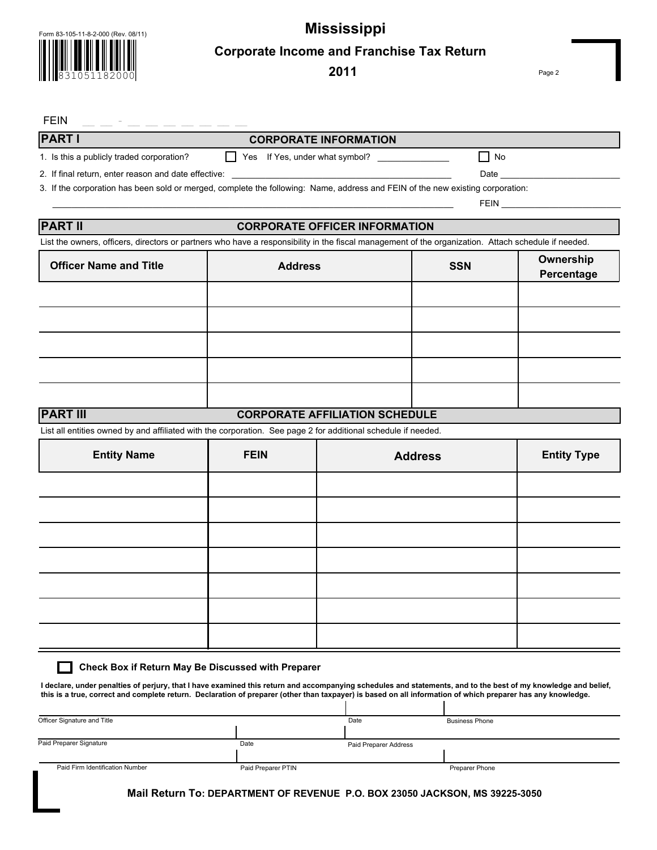Form 83-105-11-8-2-000 (Rev. 08/11)

831051182000

 **Mississippi Corporate Income and Franchise Tax Return**

**2011**

Page 2

### FEIN  $\_\_$   $\_\_$  -  $\_\_$   $\_\_$   $\_\_$   $\_\_$   $\_\_$   $\_\_$   $\_\_$   $\_\_$   $\_\_$   $\_\_$   $\_\_$   $\_\_$   $\_\_$   $\_\_$   $\_\_$   $\_\_$   $\_\_$   $\_\_$   $\_\_$   $\_\_$   $\_\_$   $\_\_$   $\_\_$   $\_\_$   $\_\_$   $\_\_$   $\_\_$   $\_\_$   $\_\_$   $\_\_$   $\_\_$   $\_\_$   $\_\_$   $\_\_$

## **PART l**

**PART lI** 

П

### **CORPORATE INFORMATION**

1. Is this a publicly traded corporation? Yes If Yes, under what symbol? \_\_\_\_\_\_\_\_\_\_\_\_\_\_\_ No

2. If final return, enter reason and date effective: \_\_\_\_\_\_\_\_\_\_\_\_\_\_\_\_\_\_\_\_\_\_\_\_\_\_\_\_\_\_\_\_\_\_\_\_\_\_\_\_\_\_\_\_\_\_ Date \_\_\_\_\_\_\_\_\_\_\_\_\_\_\_\_\_\_\_\_\_\_\_\_\_

3. If the corporation has been sold or merged, complete the following: Name, address and FEIN of the new existing corporation:

# **CORPORATE OFFICER INFORMATION**

\_\_\_\_\_\_\_\_\_\_\_\_\_\_\_\_\_\_\_\_\_\_\_\_\_\_\_\_\_\_\_\_\_\_\_\_\_\_\_\_\_\_\_\_\_\_\_\_\_\_\_\_\_\_\_\_\_\_\_\_\_\_\_\_\_\_\_\_\_\_\_\_\_\_\_\_\_\_\_\_\_\_\_\_ FEIN \_\_\_\_\_\_\_\_\_\_\_\_\_\_\_\_\_\_\_\_\_\_\_\_\_

List the owners, officers, directors or partners who have a responsibility in the fiscal management of the organization. Attach schedule if needed.

| <b>Officer Name and Title</b> | <b>Address</b> | <b>SSN</b> | Ownership<br>Percentage |
|-------------------------------|----------------|------------|-------------------------|
|                               |                |            |                         |
|                               |                |            |                         |
|                               |                |            |                         |
|                               |                |            |                         |
|                               |                |            |                         |

#### **PART lII CORPORATE AFFILIATION SCHEDULE**

List all entities owned by and affiliated with the corporation. See page 2 for additional schedule if needed.

| <b>Entity Name</b> | <b>FEIN</b> | <b>Address</b> | <b>Entity Type</b> |
|--------------------|-------------|----------------|--------------------|
|                    |             |                |                    |
|                    |             |                |                    |
|                    |             |                |                    |
|                    |             |                |                    |
|                    |             |                |                    |
|                    |             |                |                    |
|                    |             |                |                    |

#### **Check Box if Return May Be Discussed with Preparer**

**I declare, under penalties of perjury, that I have examined this return and accompanying schedules and statements, and to the best of my knowledge and belief, this is a true, correct and complete return. Declaration of preparer (other than taxpayer) is based on all information of which preparer has any knowledge.** 

| Officer Signature and Title     |                    | Date                  | <b>Business Phone</b> |
|---------------------------------|--------------------|-----------------------|-----------------------|
|                                 |                    |                       |                       |
| Paid Preparer Signature         | Date               | Paid Preparer Address |                       |
|                                 |                    |                       |                       |
| Paid Firm Identification Number | Paid Preparer PTIN |                       | Preparer Phone        |

 **Mail Return To: DEPARTMENT OF REVENUE P.O. BOX 23050 JACKSON, MS 39225-3050**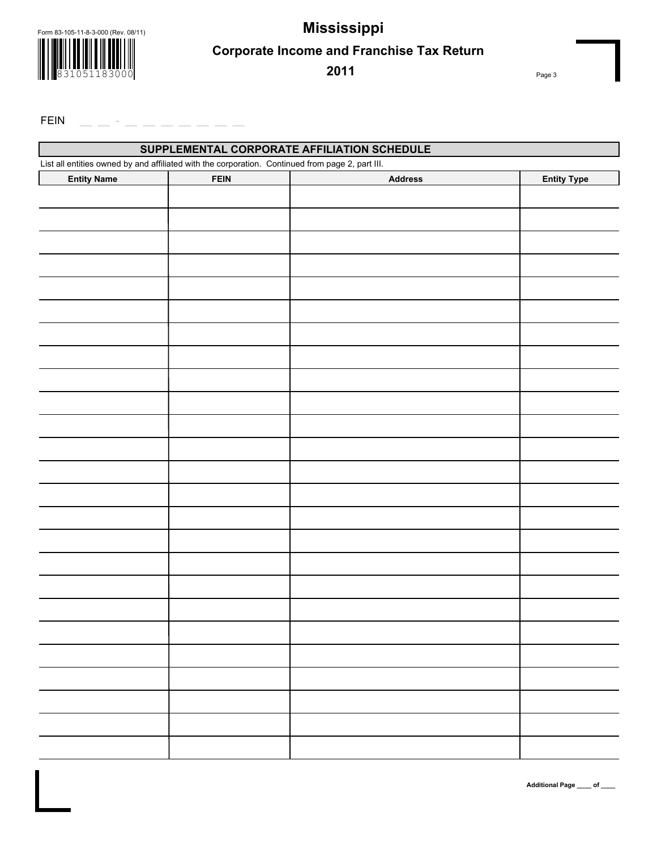Form 83-105-11-8-3-000 (Rev. 08/11)



 **Mississippi Corporate Income and Franchise Tax Return**

**2011**

Page 3

FEIN  $-$ 

| SUPPLEMENTAL CORPORATE AFFILIATION SCHEDULE                                                      |             |                |                    |  |  |
|--------------------------------------------------------------------------------------------------|-------------|----------------|--------------------|--|--|
| List all entities owned by and affiliated with the corporation. Continued from page 2, part III. |             |                |                    |  |  |
| <b>Entity Name</b>                                                                               | <b>FEIN</b> | <b>Address</b> | <b>Entity Type</b> |  |  |
|                                                                                                  |             |                |                    |  |  |
|                                                                                                  |             |                |                    |  |  |
|                                                                                                  |             |                |                    |  |  |
|                                                                                                  |             |                |                    |  |  |
|                                                                                                  |             |                |                    |  |  |
|                                                                                                  |             |                |                    |  |  |
|                                                                                                  |             |                |                    |  |  |
|                                                                                                  |             |                |                    |  |  |
|                                                                                                  |             |                |                    |  |  |
|                                                                                                  |             |                |                    |  |  |
|                                                                                                  |             |                |                    |  |  |
|                                                                                                  |             |                |                    |  |  |
|                                                                                                  |             |                |                    |  |  |
|                                                                                                  |             |                |                    |  |  |
|                                                                                                  |             |                |                    |  |  |
|                                                                                                  |             |                |                    |  |  |
|                                                                                                  |             |                |                    |  |  |
|                                                                                                  |             |                |                    |  |  |
|                                                                                                  |             |                |                    |  |  |
|                                                                                                  |             |                |                    |  |  |
|                                                                                                  |             |                |                    |  |  |
|                                                                                                  |             |                |                    |  |  |
|                                                                                                  |             |                |                    |  |  |
|                                                                                                  |             |                |                    |  |  |
|                                                                                                  |             |                |                    |  |  |
|                                                                                                  |             |                |                    |  |  |
|                                                                                                  |             |                |                    |  |  |
|                                                                                                  |             |                |                    |  |  |
|                                                                                                  |             |                |                    |  |  |
|                                                                                                  |             |                |                    |  |  |
|                                                                                                  |             |                |                    |  |  |
|                                                                                                  |             |                |                    |  |  |
|                                                                                                  |             |                |                    |  |  |
|                                                                                                  |             |                |                    |  |  |
|                                                                                                  |             |                |                    |  |  |
|                                                                                                  |             |                |                    |  |  |
|                                                                                                  |             |                |                    |  |  |

**Additional Page \_\_\_\_ of \_\_\_\_**